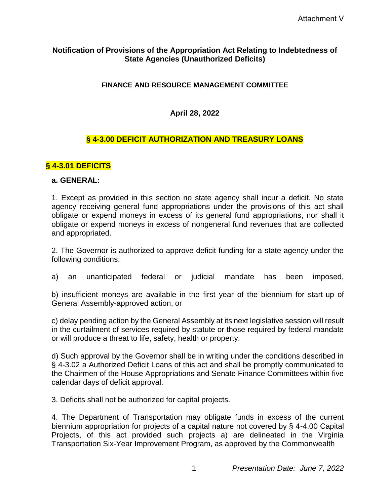#### **Notification of Provisions of the Appropriation Act Relating to Indebtedness of State Agencies (Unauthorized Deficits)**

### **FINANCE AND RESOURCE MANAGEMENT COMMITTEE**

**April 28, 2022**

# **§ 4-3.00 DEFICIT AUTHORIZATION AND TREASURY LOANS**

# **§ 4-3.01 DEFICITS**

#### **a. GENERAL:**

1. Except as provided in this section no state agency shall incur a deficit. No state agency receiving general fund appropriations under the provisions of this act shall obligate or expend moneys in excess of its general fund appropriations, nor shall it obligate or expend moneys in excess of nongeneral fund revenues that are collected and appropriated.

2. The Governor is authorized to approve deficit funding for a state agency under the following conditions:

a) an unanticipated federal or judicial mandate has been imposed,

b) insufficient moneys are available in the first year of the biennium for start-up of General Assembly-approved action, or

c) delay pending action by the General Assembly at its next legislative session will result in the curtailment of services required by statute or those required by federal mandate or will produce a threat to life, safety, health or property.

d) Such approval by the Governor shall be in writing under the conditions described in § 4-3.02 a Authorized Deficit Loans of this act and shall be promptly communicated to the Chairmen of the House Appropriations and Senate Finance Committees within five calendar days of deficit approval.

3. Deficits shall not be authorized for capital projects.

4. The Department of Transportation may obligate funds in excess of the current biennium appropriation for projects of a capital nature not covered by § 4-4.00 Capital Projects, of this act provided such projects a) are delineated in the Virginia Transportation Six-Year Improvement Program, as approved by the Commonwealth